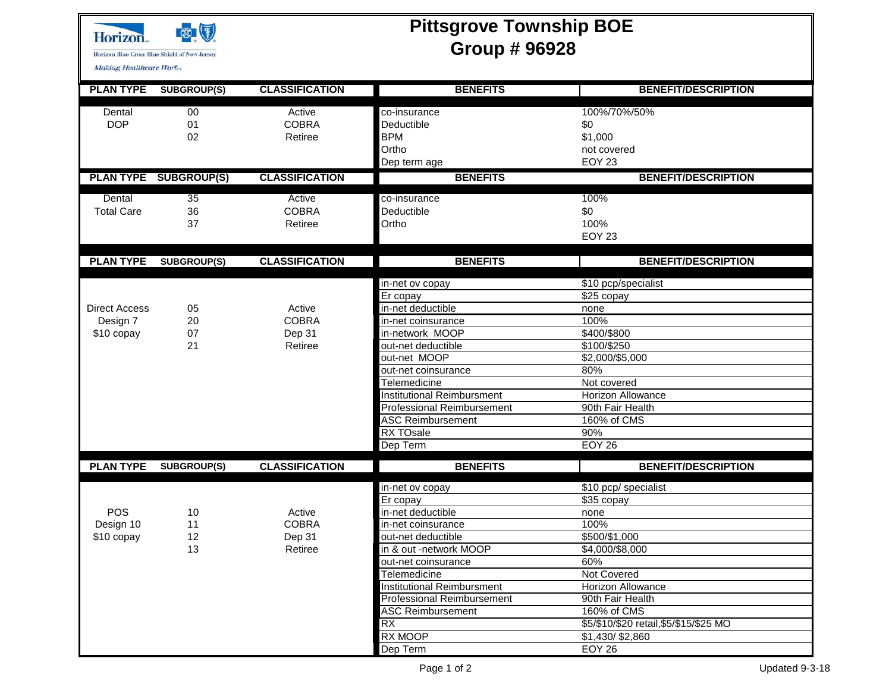

**Pittsgrove Township BOE Group # 96928**

Making Healthcare Work-

H

| <b>PLAN TYPE</b>     | <b>SUBGROUP(S)</b>           | <b>CLASSIFICATION</b> | <b>BENEFITS</b>                   | <b>BENEFIT/DESCRIPTION</b>             |  |  |  |
|----------------------|------------------------------|-----------------------|-----------------------------------|----------------------------------------|--|--|--|
| Dental               | $00\,$                       | Active                | co-insurance                      | 100%/70%/50%                           |  |  |  |
| <b>DOP</b>           | 01                           | <b>COBRA</b>          | Deductible                        | \$0                                    |  |  |  |
|                      | 02                           | Retiree               | <b>BPM</b>                        | \$1,000                                |  |  |  |
|                      |                              |                       | Ortho                             | not covered                            |  |  |  |
|                      |                              |                       | Dep term age                      | <b>EOY 23</b>                          |  |  |  |
|                      | <b>PLAN TYPE SUBGROUP(S)</b> | <b>CLASSIFICATION</b> | <b>BENEFITS</b>                   | <b>BENEFIT/DESCRIPTION</b>             |  |  |  |
|                      |                              |                       |                                   |                                        |  |  |  |
| Dental               | 35                           | Active                | co-insurance                      | 100%                                   |  |  |  |
| <b>Total Care</b>    | 36                           | <b>COBRA</b>          | Deductible                        | \$0                                    |  |  |  |
|                      | 37                           | Retiree               | Ortho                             | 100%                                   |  |  |  |
|                      |                              |                       |                                   | <b>EOY 23</b>                          |  |  |  |
| <b>PLAN TYPE</b>     | <b>SUBGROUP(S)</b>           | <b>CLASSIFICATION</b> | <b>BENEFITS</b>                   | <b>BENEFIT/DESCRIPTION</b>             |  |  |  |
|                      |                              |                       |                                   |                                        |  |  |  |
|                      |                              |                       | in-net ov copay                   | \$10 pcp/specialist                    |  |  |  |
|                      |                              |                       | $\overline{E}$ r copay            | $\sqrt{$25}$ copay                     |  |  |  |
| <b>Direct Access</b> | 05                           | Active                | in-net deductible                 | none                                   |  |  |  |
| Design 7             | 20                           | <b>COBRA</b>          | in-net coinsurance                | 100%                                   |  |  |  |
| \$10 copay           | 07                           | Dep 31                | in-network MOOP                   | \$400/\$800                            |  |  |  |
|                      | 21                           | Retiree               | out-net deductible                | \$100/\$250                            |  |  |  |
|                      |                              |                       | out-net MOOP                      | \$2,000/\$5,000                        |  |  |  |
|                      |                              |                       | out-net coinsurance               | 80%                                    |  |  |  |
|                      |                              |                       | <b>Telemedicine</b>               | Not covered                            |  |  |  |
|                      |                              |                       | <b>Institutional Reimbursment</b> | <b>Horizon Allowance</b>               |  |  |  |
|                      |                              |                       | <b>Professional Reimbursement</b> | 90th Fair Health                       |  |  |  |
|                      |                              |                       | <b>ASC Reimbursement</b>          | 160% of CMS                            |  |  |  |
|                      |                              |                       | RX TOsale                         | 90%                                    |  |  |  |
|                      |                              |                       | Dep Term                          | <b>EOY 26</b>                          |  |  |  |
| <b>PLAN TYPE</b>     | <b>SUBGROUP(S)</b>           | <b>CLASSIFICATION</b> | <b>BENEFITS</b>                   | <b>BENEFIT/DESCRIPTION</b>             |  |  |  |
|                      |                              |                       | in-net ov copay                   | \$10 pcp/ specialist                   |  |  |  |
|                      |                              |                       | Er copay                          | $$35$ copay                            |  |  |  |
| <b>POS</b>           | 10                           | Active                | in-net deductible                 | none                                   |  |  |  |
| Design 10            | 11                           | <b>COBRA</b>          | in-net coinsurance                | 100%                                   |  |  |  |
| \$10 copay           | 12                           | Dep 31                | out-net deductible                | \$500/\$1,000                          |  |  |  |
|                      | 13                           | Retiree               | in & out -network MOOP            | \$4,000/\$8,000                        |  |  |  |
|                      |                              |                       | out-net coinsurance               | 60%                                    |  |  |  |
|                      |                              |                       | Telemedicine                      | Not Covered                            |  |  |  |
|                      |                              |                       | <b>Institutional Reimbursment</b> | Horizon Allowance                      |  |  |  |
|                      |                              |                       | <b>Professional Reimbursement</b> | 90th Fair Health                       |  |  |  |
|                      |                              |                       | <b>ASC Reimbursement</b>          | 160% of CMS                            |  |  |  |
|                      |                              |                       | RX                                | \$5/\$10/\$20 retail, \$5/\$15/\$25 MO |  |  |  |
|                      |                              |                       | RX MOOP                           | \$1,430/\$2,860                        |  |  |  |
|                      |                              |                       | Dep Term                          | <b>EOY 26</b>                          |  |  |  |